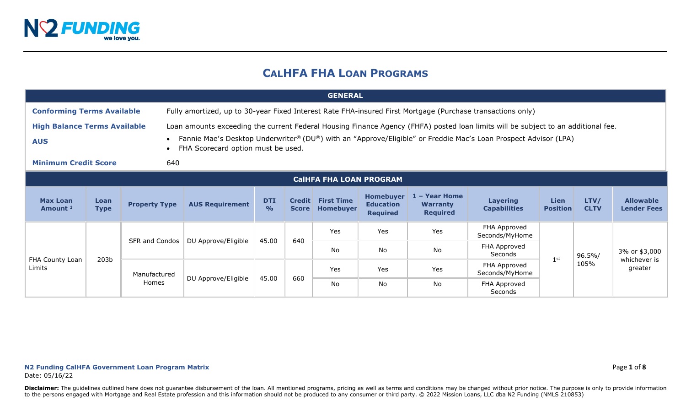

# **CALHFA FHA LOAN PROGRAMS**

|                                                   | <b>GENERAL</b>      |                      |                                                                                                                                                                                                                                                                                            |                             |              |                                       |                                                         |                                                     |                                        |                         |                     |                                        |
|---------------------------------------------------|---------------------|----------------------|--------------------------------------------------------------------------------------------------------------------------------------------------------------------------------------------------------------------------------------------------------------------------------------------|-----------------------------|--------------|---------------------------------------|---------------------------------------------------------|-----------------------------------------------------|----------------------------------------|-------------------------|---------------------|----------------------------------------|
| <b>Conforming Terms Available</b>                 |                     |                      | Fully amortized, up to 30-year Fixed Interest Rate FHA-insured First Mortgage (Purchase transactions only)                                                                                                                                                                                 |                             |              |                                       |                                                         |                                                     |                                        |                         |                     |                                        |
| <b>High Balance Terms Available</b><br><b>AUS</b> |                     |                      | Loan amounts exceeding the current Federal Housing Finance Agency (FHFA) posted loan limits will be subject to an additional fee.<br>Fannie Mae's Desktop Underwriter® (DU®) with an "Approve/Eligible" or Freddie Mac's Loan Prospect Advisor (LPA)<br>FHA Scorecard option must be used. |                             |              |                                       |                                                         |                                                     |                                        |                         |                     |                                        |
| <b>Minimum Credit Score</b>                       |                     | 640                  |                                                                                                                                                                                                                                                                                            |                             |              |                                       |                                                         |                                                     |                                        |                         |                     |                                        |
|                                                   |                     |                      |                                                                                                                                                                                                                                                                                            |                             |              | <b>CaIHFA FHA LOAN PROGRAM</b>        |                                                         |                                                     |                                        |                         |                     |                                        |
| <b>Max Loan</b><br>Amount <sup>1</sup>            | Loan<br><b>Type</b> | <b>Property Type</b> | <b>AUS Requirement</b>                                                                                                                                                                                                                                                                     | <b>DTI</b><br>$\frac{1}{2}$ | <b>Score</b> | <b>Credit First Time</b><br>Homebuyer | <b>Homebuyer</b><br><b>Education</b><br><b>Required</b> | 1 - Year Home<br><b>Warranty</b><br><b>Required</b> | <b>Layering</b><br><b>Capabilities</b> | Lien<br><b>Position</b> | LTV/<br><b>CLTV</b> | <b>Allowable</b><br><b>Lender Fees</b> |
|                                                   |                     |                      |                                                                                                                                                                                                                                                                                            |                             | 640          | Yes                                   | Yes                                                     | Yes                                                 | FHA Approved<br>Seconds/MyHome         |                         |                     |                                        |
|                                                   |                     | SFR and Condos       | DU Approve/Eligible                                                                                                                                                                                                                                                                        | 45.00                       |              | No.                                   | <b>No</b>                                               | No                                                  | FHA Approved<br>Seconds                | 1 <sup>st</sup>         | 96.5%/              | 3% or \$3,000                          |
| FHA County Loan<br>Limits                         | 203 <sub>b</sub>    | Manufactured         |                                                                                                                                                                                                                                                                                            | 45.00                       | 660          | Yes                                   | Yes                                                     | Yes                                                 | FHA Approved<br>Seconds/MyHome         |                         | 105%                | whichever is<br>greater                |
|                                                   |                     | Homes                | DU Approve/Eligible                                                                                                                                                                                                                                                                        |                             |              | No                                    | No                                                      | No                                                  | FHA Approved<br>Seconds                |                         |                     |                                        |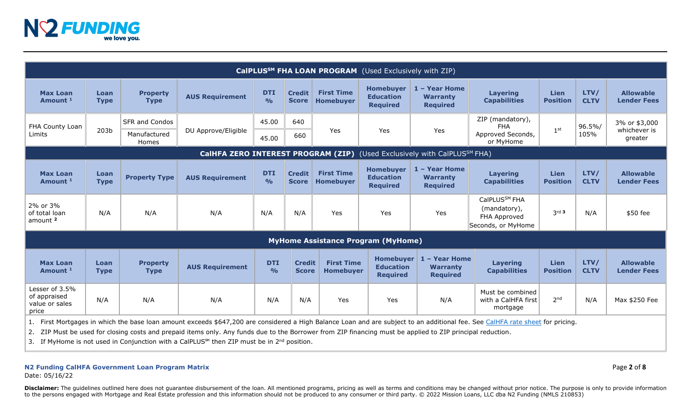

|                                                                                                                                                                                |                     |                                                |                                    |                              |                               |                                       | CalPLUS <sup>SM</sup> FHA LOAN PROGRAM (Used Exclusively with ZIP) |                                                     |                                                                                 |                         |                     |                                          |
|--------------------------------------------------------------------------------------------------------------------------------------------------------------------------------|---------------------|------------------------------------------------|------------------------------------|------------------------------|-------------------------------|---------------------------------------|--------------------------------------------------------------------|-----------------------------------------------------|---------------------------------------------------------------------------------|-------------------------|---------------------|------------------------------------------|
| <b>Max Loan</b><br>Amount <sup>1</sup>                                                                                                                                         | Loan<br><b>Type</b> | <b>Property</b><br><b>Type</b>                 | <b>AUS Requirement</b>             | <b>DTI</b><br>O <sub>0</sub> | <b>Credit</b><br><b>Score</b> | <b>First Time</b><br><b>Homebuyer</b> | <b>Homebuyer</b><br><b>Education</b><br><b>Required</b>            | 1 - Year Home<br><b>Warranty</b><br><b>Required</b> | <b>Layering</b><br><b>Capabilities</b>                                          | Lien<br><b>Position</b> | LTV/<br><b>CLTV</b> | <b>Allowable</b><br><b>Lender Fees</b>   |
| FHA County Loan<br>Limits                                                                                                                                                      | 203 <sub>b</sub>    | <b>SFR and Condos</b><br>Manufactured<br>Homes | DU Approve/Eligible                | 45.00<br>45.00               | 640<br>660                    | Yes                                   | Yes                                                                | Yes                                                 | ZIP (mandatory),<br><b>FHA</b><br>Approved Seconds,<br>or MyHome                | 1 <sup>st</sup>         | 96.5%/<br>105%      | 3% or \$3,000<br>whichever is<br>greater |
|                                                                                                                                                                                |                     |                                                | CalHFA ZERO INTEREST PROGRAM (ZIP) |                              |                               |                                       |                                                                    | (Used Exclusively with CalPLUS <sup>SM</sup> FHA)   |                                                                                 |                         |                     |                                          |
| <b>Max Loan</b><br>Amount <sup>1</sup>                                                                                                                                         | Loan<br><b>Type</b> | <b>Property Type</b>                           | <b>AUS Requirement</b>             | <b>DTI</b><br>$\frac{1}{2}$  | <b>Credit</b><br><b>Score</b> | <b>First Time</b><br><b>Homebuyer</b> | <b>Homebuyer</b><br><b>Education</b><br><b>Required</b>            | 1 - Year Home<br><b>Warranty</b><br><b>Required</b> | <b>Layering</b><br><b>Capabilities</b>                                          | Lien<br><b>Position</b> | LTV/<br><b>CLTV</b> | <b>Allowable</b><br><b>Lender Fees</b>   |
| 2% or 3%<br>of total loan<br>amount <sup>2</sup>                                                                                                                               | N/A                 | N/A                                            | N/A                                | N/A                          | N/A                           | Yes                                   | Yes                                                                | Yes                                                 | CalPLUS <sup>SM</sup> FHA<br>(mandatory),<br>FHA Approved<br>Seconds, or MyHome | $3rd$ 3                 | N/A                 | \$50 fee                                 |
|                                                                                                                                                                                |                     |                                                |                                    |                              |                               |                                       | <b>MyHome Assistance Program (MyHome)</b>                          |                                                     |                                                                                 |                         |                     |                                          |
| <b>Max Loan</b><br>Amount <sup>1</sup>                                                                                                                                         | Loan<br><b>Type</b> | <b>Property</b><br><b>Type</b>                 | <b>AUS Requirement</b>             | <b>DTI</b><br>$\frac{0}{0}$  | <b>Credit</b><br><b>Score</b> | <b>First Time</b><br><b>Homebuyer</b> | <b>Homebuyer</b><br><b>Education</b><br><b>Required</b>            | - Year Home<br><b>Warranty</b><br><b>Required</b>   | <b>Layering</b><br><b>Capabilities</b>                                          | Lien<br><b>Position</b> | LTV/<br><b>CLTV</b> | <b>Allowable</b><br><b>Lender Fees</b>   |
| Lesser of 3.5%<br>of appraised<br>value or sales<br>price                                                                                                                      | N/A                 | N/A                                            | N/A                                | N/A                          | N/A                           | Yes                                   | Yes                                                                | N/A                                                 | Must be combined<br>with a CalHFA first<br>mortgage                             | 2 <sub>nd</sub>         | N/A                 | Max \$250 Fee                            |
| 1. First Mortgages in which the base loan amount exceeds \$647,200 are considered a High Balance Loan and are subject to an additional fee. See CalHFA rate sheet for pricing. |                     |                                                |                                    |                              |                               |                                       |                                                                    |                                                     |                                                                                 |                         |                     |                                          |

2. ZIP Must be used for closing costs and prepaid items only. Any funds due to the Borrower from ZIP financing must be applied to ZIP principal reduction.

3. If MyHome is not used in Conjunction with a CalPLUS<sup>™</sup> then ZIP must be in 2<sup>nd</sup> position.

# **N2 Funding CalHFA Government Loan Program Matrix** Page **2** of **8**

Date: 05/16/22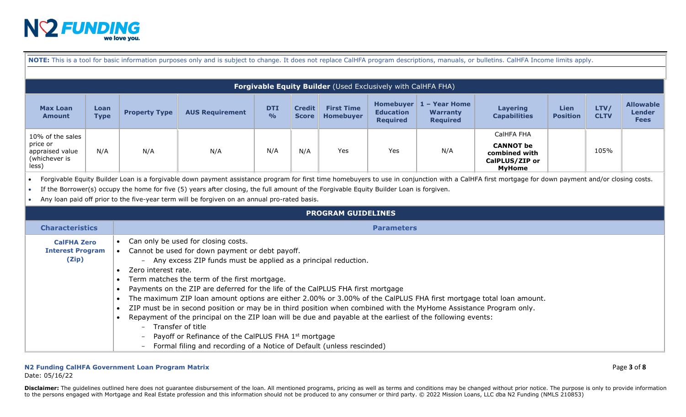

| NOTE: This is a tool for basic information purposes only and is subject to change. It does not replace CalHFA program descriptions, manuals, or bulletins. CalHFA Income limits apply. |  |
|----------------------------------------------------------------------------------------------------------------------------------------------------------------------------------------|--|
|----------------------------------------------------------------------------------------------------------------------------------------------------------------------------------------|--|

|                                                                           | <b>Forgivable Equity Builder</b> (Used Exclusively with CalHFA FHA) |                      |                        |                             |                               |                                       |                                     |                                                                       |                                                                                    |                                |                     |                                                  |
|---------------------------------------------------------------------------|---------------------------------------------------------------------|----------------------|------------------------|-----------------------------|-------------------------------|---------------------------------------|-------------------------------------|-----------------------------------------------------------------------|------------------------------------------------------------------------------------|--------------------------------|---------------------|--------------------------------------------------|
| <b>Max Loan</b><br>Amount                                                 | Loan<br><b>Type</b>                                                 | <b>Property Type</b> | <b>AUS Requirement</b> | <b>DTI</b><br>$\frac{0}{0}$ | <b>Credit</b><br><b>Score</b> | <b>First Time</b><br><b>Homebuyer</b> | <b>Education</b><br><b>Required</b> | Homebuyer $\vert 1 -$ Year Home<br><b>Warranty</b><br><b>Required</b> | <b>Layering</b><br><b>Capabilities</b>                                             | <b>Lien</b><br><b>Position</b> | LTV/<br><b>CLTV</b> | <b>Allowable</b><br><b>Lender</b><br><b>Fees</b> |
| 10% of the sales<br>price or<br>appraised value<br>(whichever is<br>less) | N/A                                                                 | N/A                  | N/A                    | N/A                         | N/A                           | Yes                                   | Yes                                 | N/A                                                                   | CalHFA FHA<br><b>CANNOT</b> be<br>combined with<br>CalPLUS/ZIP or<br><b>MyHome</b> |                                | 105%                |                                                  |

• Forgivable Equity Builder Loan is a forgivable down payment assistance program for first time homebuyers to use in conjunction with a CalHFA first mortgage for down payment and/or closing costs.

• If the Borrower(s) occupy the home for five (5) years after closing, the full amount of the Forgivable Equity Builder Loan is forgiven.

• Any loan paid off prior to the five-year term will be forgiven on an annual pro-rated basis.

|                                                        | <b>PROGRAM GUIDELINES</b>                                                                                                                                                                                                                                                                                                                                                                                                                                                                                                                                                                                                                                                                                                                                                                                                                                               |
|--------------------------------------------------------|-------------------------------------------------------------------------------------------------------------------------------------------------------------------------------------------------------------------------------------------------------------------------------------------------------------------------------------------------------------------------------------------------------------------------------------------------------------------------------------------------------------------------------------------------------------------------------------------------------------------------------------------------------------------------------------------------------------------------------------------------------------------------------------------------------------------------------------------------------------------------|
| <b>Characteristics</b>                                 | <b>Parameters</b>                                                                                                                                                                                                                                                                                                                                                                                                                                                                                                                                                                                                                                                                                                                                                                                                                                                       |
| <b>CalFHA Zero</b><br><b>Interest Program</b><br>(Zip) | Can only be used for closing costs.<br>• Cannot be used for down payment or debt payoff.<br>Any excess ZIP funds must be applied as a principal reduction.<br>$-$<br>Zero interest rate.<br>Term matches the term of the first mortgage.<br>Payments on the ZIP are deferred for the life of the CalPLUS FHA first mortgage<br>The maximum ZIP loan amount options are either 2.00% or 3.00% of the CalPLUS FHA first mortgage total loan amount.<br>ZIP must be in second position or may be in third position when combined with the MyHome Assistance Program only.<br>Repayment of the principal on the ZIP loan will be due and payable at the earliest of the following events:<br>Transfer of title<br>$\sim$ $\sim$<br>Payoff or Refinance of the CalPLUS FHA 1 <sup>st</sup> mortgage<br>Formal filing and recording of a Notice of Default (unless rescinded) |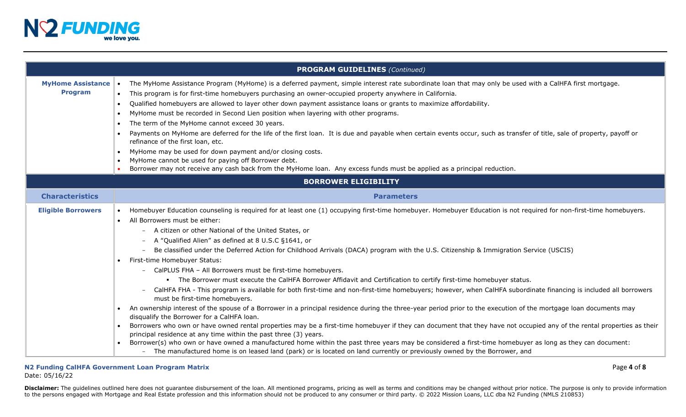

|                                            | <b>PROGRAM GUIDELINES (Continued)</b>                                                                                                                                                                                                                                                                                                                                                                                                                                                                                                                                                                                                                                                                                                                                                                                                                                                                                                                                                                                                                                                                                                                                                                                                                                                                                                                                                                                                                                                                                                                                                                                                                                        |
|--------------------------------------------|------------------------------------------------------------------------------------------------------------------------------------------------------------------------------------------------------------------------------------------------------------------------------------------------------------------------------------------------------------------------------------------------------------------------------------------------------------------------------------------------------------------------------------------------------------------------------------------------------------------------------------------------------------------------------------------------------------------------------------------------------------------------------------------------------------------------------------------------------------------------------------------------------------------------------------------------------------------------------------------------------------------------------------------------------------------------------------------------------------------------------------------------------------------------------------------------------------------------------------------------------------------------------------------------------------------------------------------------------------------------------------------------------------------------------------------------------------------------------------------------------------------------------------------------------------------------------------------------------------------------------------------------------------------------------|
| <b>MyHome Assistance</b><br><b>Program</b> | The MyHome Assistance Program (MyHome) is a deferred payment, simple interest rate subordinate loan that may only be used with a CalHFA first mortgage.<br>This program is for first-time homebuyers purchasing an owner-occupied property anywhere in California.<br>Qualified homebuyers are allowed to layer other down payment assistance loans or grants to maximize affordability.<br>MyHome must be recorded in Second Lien position when layering with other programs.<br>The term of the MyHome cannot exceed 30 years.<br>Payments on MyHome are deferred for the life of the first loan. It is due and payable when certain events occur, such as transfer of title, sale of property, payoff or<br>refinance of the first loan, etc.<br>MyHome may be used for down payment and/or closing costs.<br>$\bullet$<br>MyHome cannot be used for paying off Borrower debt.<br>Borrower may not receive any cash back from the MyHome Ioan. Any excess funds must be applied as a principal reduction.                                                                                                                                                                                                                                                                                                                                                                                                                                                                                                                                                                                                                                                                 |
|                                            | <b>BORROWER ELIGIBILITY</b>                                                                                                                                                                                                                                                                                                                                                                                                                                                                                                                                                                                                                                                                                                                                                                                                                                                                                                                                                                                                                                                                                                                                                                                                                                                                                                                                                                                                                                                                                                                                                                                                                                                  |
| <b>Characteristics</b>                     | <b>Parameters</b>                                                                                                                                                                                                                                                                                                                                                                                                                                                                                                                                                                                                                                                                                                                                                                                                                                                                                                                                                                                                                                                                                                                                                                                                                                                                                                                                                                                                                                                                                                                                                                                                                                                            |
| <b>Eligible Borrowers</b>                  | Homebuyer Education counseling is required for at least one (1) occupying first-time homebuyer. Homebuyer Education is not required for non-first-time homebuyers.<br>All Borrowers must be either:<br>$\bullet$<br>- A citizen or other National of the United States, or<br>A "Qualified Alien" as defined at 8 U.S.C §1641, or<br>Be classified under the Deferred Action for Childhood Arrivals (DACA) program with the U.S. Citizenship & Immigration Service (USCIS)<br>First-time Homebuyer Status:<br>- CalPLUS FHA - All Borrowers must be first-time homebuyers.<br>• The Borrower must execute the CalHFA Borrower Affidavit and Certification to certify first-time homebuyer status.<br>CalHFA FHA - This program is available for both first-time and non-first-time homebuyers; however, when CalHFA subordinate financing is included all borrowers<br>must be first-time homebuyers.<br>An ownership interest of the spouse of a Borrower in a principal residence during the three-year period prior to the execution of the mortgage loan documents may<br>$\bullet$<br>disqualify the Borrower for a CalHFA loan.<br>Borrowers who own or have owned rental properties may be a first-time homebuyer if they can document that they have not occupied any of the rental properties as their<br>principal residence at any time within the past three (3) years.<br>Borrower(s) who own or have owned a manufactured home within the past three years may be considered a first-time homebuyer as long as they can document:<br>- The manufactured home is on leased land (park) or is located on land currently or previously owned by the Borrower, and |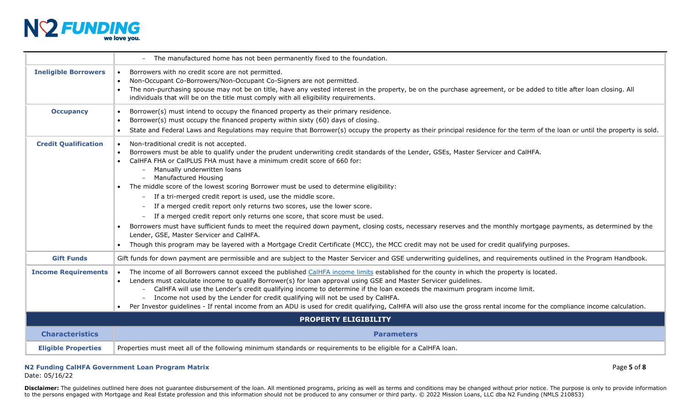

|                             | - The manufactured home has not been permanently fixed to the foundation.                                                                                                                                                                                                                                                                                                                                                                                                                                                                                                                                                                                                                                                                                                                                                                                                                                                                                                                                            |
|-----------------------------|----------------------------------------------------------------------------------------------------------------------------------------------------------------------------------------------------------------------------------------------------------------------------------------------------------------------------------------------------------------------------------------------------------------------------------------------------------------------------------------------------------------------------------------------------------------------------------------------------------------------------------------------------------------------------------------------------------------------------------------------------------------------------------------------------------------------------------------------------------------------------------------------------------------------------------------------------------------------------------------------------------------------|
| <b>Ineligible Borrowers</b> | Borrowers with no credit score are not permitted.<br>Non-Occupant Co-Borrowers/Non-Occupant Co-Signers are not permitted.<br>The non-purchasing spouse may not be on title, have any vested interest in the property, be on the purchase agreement, or be added to title after loan closing. All<br>individuals that will be on the title must comply with all eligibility requirements.                                                                                                                                                                                                                                                                                                                                                                                                                                                                                                                                                                                                                             |
| <b>Occupancy</b>            | Borrower(s) must intend to occupy the financed property as their primary residence.<br>Borrower(s) must occupy the financed property within sixty (60) days of closing.<br>State and Federal Laws and Regulations may require that Borrower(s) occupy the property as their principal residence for the term of the loan or until the property is sold.                                                                                                                                                                                                                                                                                                                                                                                                                                                                                                                                                                                                                                                              |
| <b>Credit Qualification</b> | Non-traditional credit is not accepted.<br>Borrowers must be able to qualify under the prudent underwriting credit standards of the Lender, GSEs, Master Servicer and CalHFA.<br>CalHFA FHA or CalPLUS FHA must have a minimum credit score of 660 for:<br>Manually underwritten loans<br>Manufactured Housing<br>• The middle score of the lowest scoring Borrower must be used to determine eligibility:<br>- If a tri-merged credit report is used, use the middle score.<br>If a merged credit report only returns two scores, use the lower score.<br>- If a merged credit report only returns one score, that score must be used.<br>Borrowers must have sufficient funds to meet the required down payment, closing costs, necessary reserves and the monthly mortgage payments, as determined by the<br>Lender, GSE, Master Servicer and CalHFA.<br>Though this program may be layered with a Mortgage Credit Certificate (MCC), the MCC credit may not be used for credit qualifying purposes.<br>$\bullet$ |
| <b>Gift Funds</b>           | Gift funds for down payment are permissible and are subject to the Master Servicer and GSE underwriting guidelines, and requirements outlined in the Program Handbook.                                                                                                                                                                                                                                                                                                                                                                                                                                                                                                                                                                                                                                                                                                                                                                                                                                               |
| <b>Income Requirements</b>  | • The income of all Borrowers cannot exceed the published CalHFA income limits established for the county in which the property is located.<br>Lenders must calculate income to qualify Borrower(s) for loan approval using GSE and Master Servicer guidelines.<br>CalHFA will use the Lender's credit qualifying income to determine if the loan exceeds the maximum program income limit.<br>Income not used by the Lender for credit qualifying will not be used by CalHFA.<br>Per Investor guidelines - If rental income from an ADU is used for credit qualifying, CalHFA will also use the gross rental income for the compliance income calculation.                                                                                                                                                                                                                                                                                                                                                          |
|                             | <b>PROPERTY ELIGIBILITY</b>                                                                                                                                                                                                                                                                                                                                                                                                                                                                                                                                                                                                                                                                                                                                                                                                                                                                                                                                                                                          |
| <b>Characteristics</b>      | <b>Parameters</b>                                                                                                                                                                                                                                                                                                                                                                                                                                                                                                                                                                                                                                                                                                                                                                                                                                                                                                                                                                                                    |
| <b>Eligible Properties</b>  | Properties must meet all of the following minimum standards or requirements to be eligible for a CalHFA loan.                                                                                                                                                                                                                                                                                                                                                                                                                                                                                                                                                                                                                                                                                                                                                                                                                                                                                                        |

## **N2 Funding CalHFA Government Loan Program Matrix** Page **5** of **8**

Date: 05/16/22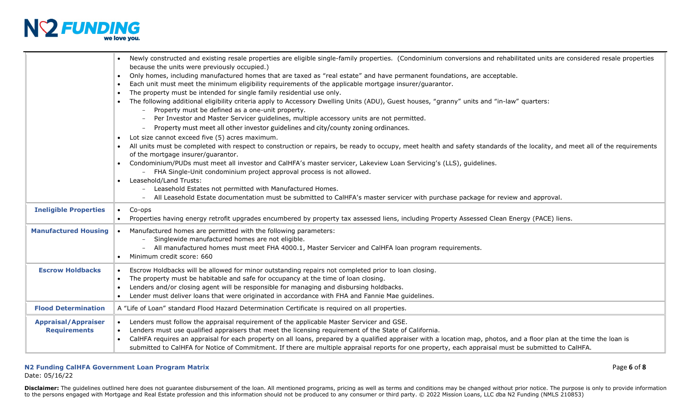

|                              | Newly constructed and existing resale properties are eligible single-family properties. (Condominium conversions and rehabilitated units are considered resale properties<br>because the units were previously occupied.)                                                                                                   |
|------------------------------|-----------------------------------------------------------------------------------------------------------------------------------------------------------------------------------------------------------------------------------------------------------------------------------------------------------------------------|
|                              | Only homes, including manufactured homes that are taxed as "real estate" and have permanent foundations, are acceptable.<br>$\bullet$                                                                                                                                                                                       |
|                              | Each unit must meet the minimum eligibility requirements of the applicable mortgage insurer/guarantor.                                                                                                                                                                                                                      |
|                              | The property must be intended for single family residential use only.<br>The following additional eligibility criteria apply to Accessory Dwelling Units (ADU), Guest houses, "granny" units and "in-law" quarters:                                                                                                         |
|                              | Property must be defined as a one-unit property.                                                                                                                                                                                                                                                                            |
|                              | Per Investor and Master Servicer guidelines, multiple accessory units are not permitted.                                                                                                                                                                                                                                    |
|                              | Property must meet all other investor guidelines and city/county zoning ordinances.                                                                                                                                                                                                                                         |
|                              | Lot size cannot exceed five (5) acres maximum.                                                                                                                                                                                                                                                                              |
|                              | All units must be completed with respect to construction or repairs, be ready to occupy, meet health and safety standards of the locality, and meet all of the requirements<br>of the mortgage insurer/guarantor.                                                                                                           |
|                              | Condominium/PUDs must meet all investor and CalHFA's master servicer, Lakeview Loan Servicing's (LLS), guidelines.<br>$\bullet$                                                                                                                                                                                             |
|                              | - FHA Single-Unit condominium project approval process is not allowed.                                                                                                                                                                                                                                                      |
|                              | Leasehold/Land Trusts:                                                                                                                                                                                                                                                                                                      |
|                              | - Leasehold Estates not permitted with Manufactured Homes.<br>All Leasehold Estate documentation must be submitted to CalHFA's master servicer with purchase package for review and approval.                                                                                                                               |
|                              |                                                                                                                                                                                                                                                                                                                             |
| <b>Ineligible Properties</b> | Co-ops<br>$\bullet$<br>Properties having energy retrofit upgrades encumbered by property tax assessed liens, including Property Assessed Clean Energy (PACE) liens.                                                                                                                                                         |
| <b>Manufactured Housing</b>  | Manufactured homes are permitted with the following parameters:                                                                                                                                                                                                                                                             |
|                              | Singlewide manufactured homes are not eligible.                                                                                                                                                                                                                                                                             |
|                              | All manufactured homes must meet FHA 4000.1, Master Servicer and CalHFA loan program requirements.                                                                                                                                                                                                                          |
|                              | Minimum credit score: 660                                                                                                                                                                                                                                                                                                   |
| <b>Escrow Holdbacks</b>      | Escrow Holdbacks will be allowed for minor outstanding repairs not completed prior to loan closing.                                                                                                                                                                                                                         |
|                              | The property must be habitable and safe for occupancy at the time of loan closing.<br>$\bullet$                                                                                                                                                                                                                             |
|                              | Lenders and/or closing agent will be responsible for managing and disbursing holdbacks.                                                                                                                                                                                                                                     |
|                              | Lender must deliver loans that were originated in accordance with FHA and Fannie Mae guidelines.                                                                                                                                                                                                                            |
| <b>Flood Determination</b>   | A "Life of Loan" standard Flood Hazard Determination Certificate is required on all properties.                                                                                                                                                                                                                             |
| <b>Appraisal/Appraiser</b>   | Lenders must follow the appraisal requirement of the applicable Master Servicer and GSE.                                                                                                                                                                                                                                    |
| <b>Requirements</b>          | Lenders must use qualified appraisers that meet the licensing requirement of the State of California.                                                                                                                                                                                                                       |
|                              | CalHFA requires an appraisal for each property on all loans, prepared by a qualified appraiser with a location map, photos, and a floor plan at the time the loan is<br>submitted to CalHFA for Notice of Commitment. If there are multiple appraisal reports for one property, each appraisal must be submitted to CalHFA. |

### **N2 Funding CalHFA Government Loan Program Matrix** Page **6** of **8** Date: 05/16/22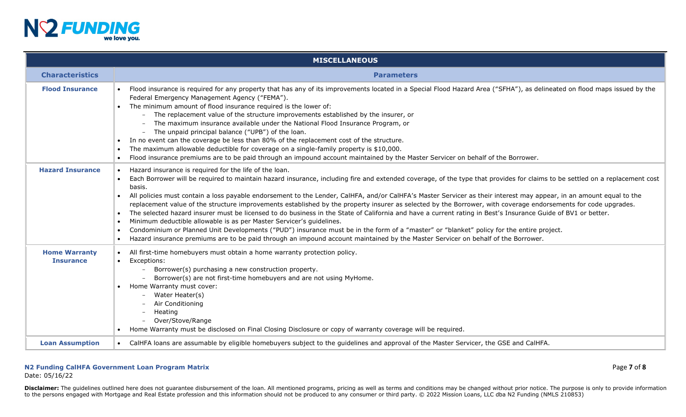

|                                          | <b>MISCELLANEOUS</b>                                                                                                                                                                                                                                                                                                                                                                                                                                                                                                                                                                                                                                                                                                                                                                                                                                                                                                                                                                                                                                                                                                                       |
|------------------------------------------|--------------------------------------------------------------------------------------------------------------------------------------------------------------------------------------------------------------------------------------------------------------------------------------------------------------------------------------------------------------------------------------------------------------------------------------------------------------------------------------------------------------------------------------------------------------------------------------------------------------------------------------------------------------------------------------------------------------------------------------------------------------------------------------------------------------------------------------------------------------------------------------------------------------------------------------------------------------------------------------------------------------------------------------------------------------------------------------------------------------------------------------------|
| <b>Characteristics</b>                   | <b>Parameters</b>                                                                                                                                                                                                                                                                                                                                                                                                                                                                                                                                                                                                                                                                                                                                                                                                                                                                                                                                                                                                                                                                                                                          |
| <b>Flood Insurance</b>                   | Flood insurance is required for any property that has any of its improvements located in a Special Flood Hazard Area ("SFHA"), as delineated on flood maps issued by the<br>Federal Emergency Management Agency ("FEMA").<br>The minimum amount of flood insurance required is the lower of:<br>- The replacement value of the structure improvements established by the insurer, or<br>The maximum insurance available under the National Flood Insurance Program, or<br>- The unpaid principal balance ("UPB") of the loan.<br>In no event can the coverage be less than 80% of the replacement cost of the structure.<br>The maximum allowable deductible for coverage on a single-family property is \$10,000.<br>Flood insurance premiums are to be paid through an impound account maintained by the Master Servicer on behalf of the Borrower.                                                                                                                                                                                                                                                                                      |
| <b>Hazard Insurance</b>                  | Hazard insurance is required for the life of the loan.<br>Each Borrower will be required to maintain hazard insurance, including fire and extended coverage, of the type that provides for claims to be settled on a replacement cost<br>basis.<br>All policies must contain a loss payable endorsement to the Lender, CalHFA, and/or CalHFA's Master Servicer as their interest may appear, in an amount equal to the<br>replacement value of the structure improvements established by the property insurer as selected by the Borrower, with coverage endorsements for code upgrades.<br>The selected hazard insurer must be licensed to do business in the State of California and have a current rating in Best's Insurance Guide of BV1 or better.<br>$\bullet$<br>Minimum deductible allowable is as per Master Servicer's guidelines.<br>Condominium or Planned Unit Developments ("PUD") insurance must be in the form of a "master" or "blanket" policy for the entire project.<br>$\bullet$<br>Hazard insurance premiums are to be paid through an impound account maintained by the Master Servicer on behalf of the Borrower. |
| <b>Home Warranty</b><br><b>Insurance</b> | All first-time homebuyers must obtain a home warranty protection policy.<br>Exceptions:<br>$\bullet$<br>Borrower(s) purchasing a new construction property.<br>Borrower(s) are not first-time homebuyers and are not using MyHome.<br>Home Warranty must cover:<br>Water Heater(s)<br>Air Conditioning<br>Heating<br>Over/Stove/Range<br>Home Warranty must be disclosed on Final Closing Disclosure or copy of warranty coverage will be required.                                                                                                                                                                                                                                                                                                                                                                                                                                                                                                                                                                                                                                                                                        |
| <b>Loan Assumption</b>                   | CalHFA loans are assumable by eligible homebuyers subject to the guidelines and approval of the Master Servicer, the GSE and CalHFA.                                                                                                                                                                                                                                                                                                                                                                                                                                                                                                                                                                                                                                                                                                                                                                                                                                                                                                                                                                                                       |

### **N2 Funding CalHFA Government Loan Program Matrix** Page **7** of **8**

Date: 05/16/22